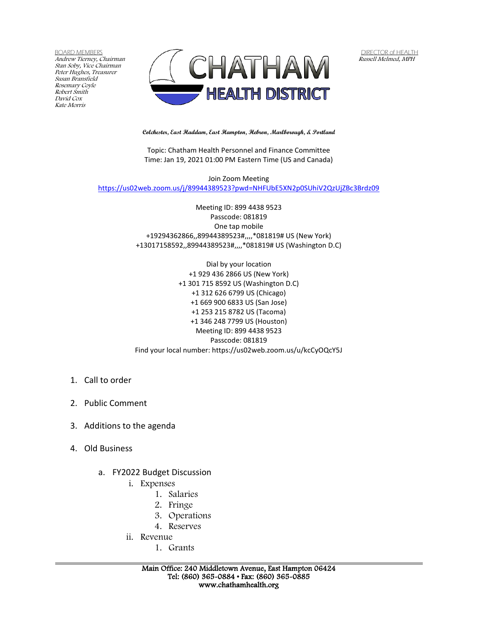BOARD MEMBERS Andrew Tierney, Chairman Stan Soby, Vice Chairman Peter Hughes, Treasurer Susan Bransfield Rosemary Coyle Robert Smith David Cox Kate Morris



DIRECTOR of HEALTH Russell Melmed, MPH

**Colchester, East Haddam, East Hampton, Hebron, Marlborough, & Portland**

Topic: Chatham Health Personnel and Finance Committee Time: Jan 19, 2021 01:00 PM Eastern Time (US and Canada)

Join Zoom Meeting <https://us02web.zoom.us/j/89944389523?pwd=NHFUbE5XN2p0SUhiV2QzUjZBc3Brdz09>

> Meeting ID: 899 4438 9523 Passcode: 081819 One tap mobile +19294362866,,89944389523#,,,,\*081819# US (New York) +13017158592,,89944389523#,,,,\*081819# US (Washington D.C)

> Dial by your location +1 929 436 2866 US (New York) +1 301 715 8592 US (Washington D.C) +1 312 626 6799 US (Chicago) +1 669 900 6833 US (San Jose) +1 253 215 8782 US (Tacoma) +1 346 248 7799 US (Houston) Meeting ID: 899 4438 9523 Passcode: 081819 Find your local number: https://us02web.zoom.us/u/kcCyOQcY5J

- 1. Call to order
- 2. Public Comment
- 3. Additions to the agenda
- 4. Old Business
	- a. FY2022 Budget Discussion
		- i. Expenses
			- 1. Salaries
			- 2. Fringe
			- 3. Operations
			- 4. Reserves
		- ii. Revenue
			- 1. Grants